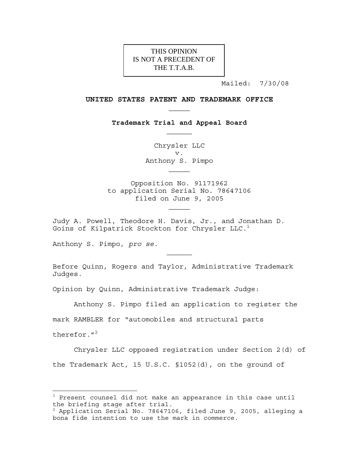# THE T.T.A.B. THIS OPINION IS NOT A PRECEDENT OF

Mailed: 7/30/08

#### **UNITED STATES PATENT AND TRADEMARK OFFICE**

**Trademark Trial and Appeal Board** 

Chrysler LLC v. Anthony S. Pimpo

Opposition No. 91171962 to application Serial No. 78647106 filed on June 9, 2005

Judy A. Powell, Theodore H. Davis, Jr., and Jonathan D. Goins of Kilpatrick Stockton for Chrysler  $LLC.1$ 

Anthony S. Pimpo, *pro se*.

Before Quinn, Rogers and Taylor, Administrative Trademark Judges.

Opinion by Quinn, Administrative Trademark Judge:

Anthony S. Pimpo filed an application to register the

mark RAMBLER for "automobiles and structural parts

therefor. $1<sup>2</sup>$ 

i<br>L

 Chrysler LLC opposed registration under Section 2(d) of the Trademark Act, 15 U.S.C. §1052(d), on the ground of

 $^{\rm 1}$  Present counsel did not make an appearance in this case until the briefing stage after trial.

<sup>2</sup> Application Serial No. 78647106, filed June 9, 2005, alleging a bona fide intention to use the mark in commerce.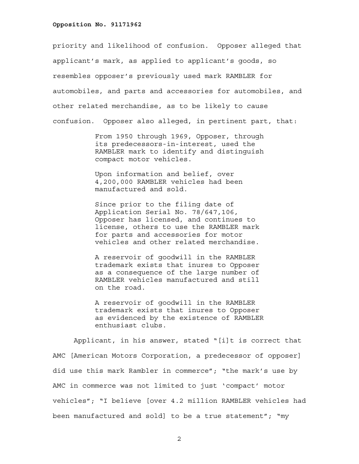priority and likelihood of confusion. Opposer alleged that applicant's mark, as applied to applicant's goods, so resembles opposer's previously used mark RAMBLER for automobiles, and parts and accessories for automobiles, and other related merchandise, as to be likely to cause confusion. Opposer also alleged, in pertinent part, that:

> From 1950 through 1969, Opposer, through its predecessors-in-interest, used the RAMBLER mark to identify and distinguish compact motor vehicles.

Upon information and belief, over 4,200,000 RAMBLER vehicles had been manufactured and sold.

Since prior to the filing date of Application Serial No. 78/647,106, Opposer has licensed, and continues to license, others to use the RAMBLER mark for parts and accessories for motor vehicles and other related merchandise.

A reservoir of goodwill in the RAMBLER trademark exists that inures to Opposer as a consequence of the large number of RAMBLER vehicles manufactured and still on the road.

A reservoir of goodwill in the RAMBLER trademark exists that inures to Opposer as evidenced by the existence of RAMBLER enthusiast clubs.

 Applicant, in his answer, stated "[i]t is correct that AMC [American Motors Corporation, a predecessor of opposer] did use this mark Rambler in commerce"; "the mark's use by AMC in commerce was not limited to just 'compact' motor vehicles"; "I believe [over 4.2 million RAMBLER vehicles had been manufactured and sold] to be a true statement"; "my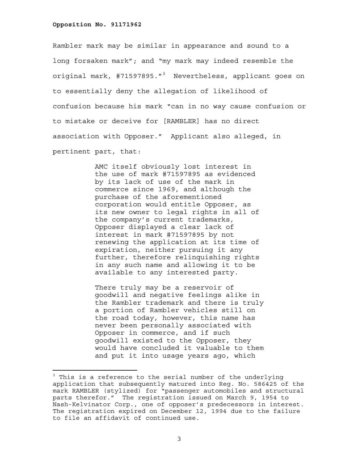Rambler mark may be similar in appearance and sound to a long forsaken mark"; and "my mark may indeed resemble the original mark, #71597895."<sup>3</sup> Nevertheless, applicant goes on to essentially deny the allegation of likelihood of confusion because his mark "can in no way cause confusion or to mistake or deceive for [RAMBLER] has no direct association with Opposer." Applicant also alleged, in pertinent part, that:

> AMC itself obviously lost interest in the use of mark #71597895 as evidenced by its lack of use of the mark in commerce since 1969, and although the purchase of the aforementioned corporation would entitle Opposer, as its new owner to legal rights in all of the company's current trademarks, Opposer displayed a clear lack of interest in mark #71597895 by not renewing the application at its time of expiration, neither pursuing it any further, therefore relinquishing rights in any such name and allowing it to be available to any interested party.

There truly may be a reservoir of goodwill and negative feelings alike in the Rambler trademark and there is truly a portion of Rambler vehicles still on the road today, however, this name has never been personally associated with Opposer in commerce, and if such goodwill existed to the Opposer, they would have concluded it valuable to them and put it into usage years ago, which

<sup>&</sup>lt;sup>3</sup> This is a reference to the serial number of the underlying application that subsequently matured into Reg. No. 586425 of the mark RAMBLER (stylized) for "passenger automobiles and structural parts therefor." The registration issued on March 9, 1954 to Nash-Kelvinator Corp., one of opposer's predecessors in interest. The registration expired on December 12, 1994 due to the failure to file an affidavit of continued use.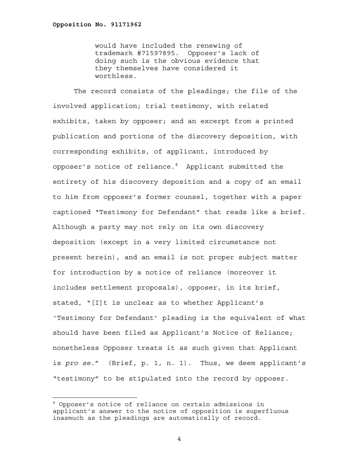i<br>L

would have included the renewing of trademark #71597895. Opposer's lack of doing such is the obvious evidence that they themselves have considered it worthless.

 The record consists of the pleadings; the file of the involved application; trial testimony, with related exhibits, taken by opposer; and an excerpt from a printed publication and portions of the discovery deposition, with corresponding exhibits, of applicant, introduced by opposer's notice of reliance. $^4$  -Applicant submitted the entirety of his discovery deposition and a copy of an email to him from opposer's former counsel, together with a paper captioned "Testimony for Defendant" that reads like a brief. Although a party may not rely on its own discovery deposition (except in a very limited circumstance not present herein), and an email is not proper subject matter for introduction by a notice of reliance (moreover it includes settlement proposals), opposer, in its brief, stated, "[I]t is unclear as to whether Applicant's 'Testimony for Defendant' pleading is the equivalent of what should have been filed as Applicant's Notice of Reliance; nonetheless Opposer treats it as such given that Applicant is *pro se*." (Brief, p. 1, n. 1). Thus, we deem applicant's "testimony" to be stipulated into the record by opposer.

<sup>4</sup> Opposer's notice of reliance on certain admissions in applicant's answer to the notice of opposition is superfluous inasmuch as the pleadings are automatically of record.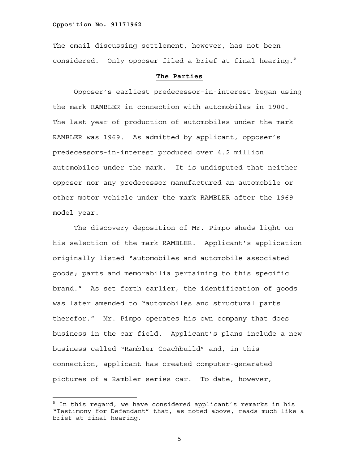i<br>L

The email discussing settlement, however, has not been considered. Only opposer filed a brief at final hearing. $5$ 

# **The Parties**

 Opposer's earliest predecessor-in-interest began using the mark RAMBLER in connection with automobiles in 1900. The last year of production of automobiles under the mark RAMBLER was 1969. As admitted by applicant, opposer's predecessors-in-interest produced over 4.2 million automobiles under the mark. It is undisputed that neither opposer nor any predecessor manufactured an automobile or other motor vehicle under the mark RAMBLER after the 1969 model year.

The discovery deposition of Mr. Pimpo sheds light on his selection of the mark RAMBLER. Applicant's application originally listed "automobiles and automobile associated goods; parts and memorabilia pertaining to this specific brand." As set forth earlier, the identification of goods was later amended to "automobiles and structural parts therefor." Mr. Pimpo operates his own company that does business in the car field. Applicant's plans include a new business called "Rambler Coachbuild" and, in this connection, applicant has created computer-generated pictures of a Rambler series car. To date, however,

<sup>&</sup>lt;sup>5</sup> In this regard, we have considered applicant's remarks in his "Testimony for Defendant" that, as noted above, reads much like a brief at final hearing.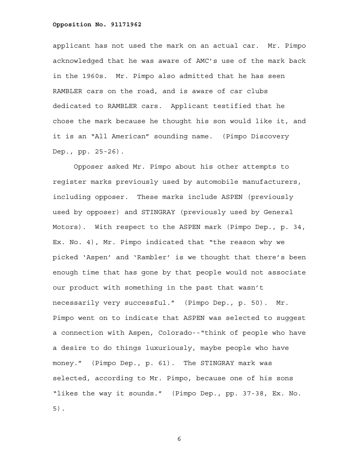applicant has not used the mark on an actual car. Mr. Pimpo acknowledged that he was aware of AMC's use of the mark back in the 1960s. Mr. Pimpo also admitted that he has seen RAMBLER cars on the road, and is aware of car clubs dedicated to RAMBLER cars. Applicant testified that he chose the mark because he thought his son would like it, and it is an "All American" sounding name. (Pimpo Discovery Dep., pp. 25-26).

 Opposer asked Mr. Pimpo about his other attempts to register marks previously used by automobile manufacturers, including opposer. These marks include ASPEN (previously used by opposer) and STINGRAY (previously used by General Motors). With respect to the ASPEN mark (Pimpo Dep., p. 34, Ex. No. 4), Mr. Pimpo indicated that "the reason why we picked 'Aspen' and 'Rambler' is we thought that there's been enough time that has gone by that people would not associate our product with something in the past that wasn't necessarily very successful." (Pimpo Dep., p. 50). Mr. Pimpo went on to indicate that ASPEN was selected to suggest a connection with Aspen, Colorado--"think of people who have a desire to do things luxuriously, maybe people who have money." (Pimpo Dep., p. 61). The STINGRAY mark was selected, according to Mr. Pimpo, because one of his sons "likes the way it sounds." (Pimpo Dep., pp. 37-38, Ex. No. 5).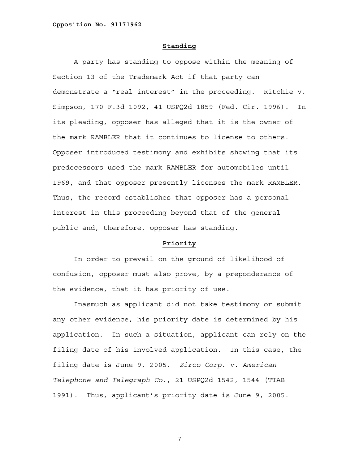## **Standing**

 A party has standing to oppose within the meaning of Section 13 of the Trademark Act if that party can demonstrate a "real interest" in the proceeding. Ritchie v. Simpson, 170 F.3d 1092, 41 USPQ2d 1859 (Fed. Cir. 1996). In its pleading, opposer has alleged that it is the owner of the mark RAMBLER that it continues to license to others. Opposer introduced testimony and exhibits showing that its predecessors used the mark RAMBLER for automobiles until 1969, and that opposer presently licenses the mark RAMBLER. Thus, the record establishes that opposer has a personal interest in this proceeding beyond that of the general public and, therefore, opposer has standing.

# **Priority**

 In order to prevail on the ground of likelihood of confusion, opposer must also prove, by a preponderance of the evidence, that it has priority of use.

 Inasmuch as applicant did not take testimony or submit any other evidence, his priority date is determined by his application. In such a situation, applicant can rely on the filing date of his involved application. In this case, the filing date is June 9, 2005. *Zirco Corp. v. American Telephone and Telegraph Co.*, 21 USPQ2d 1542, 1544 (TTAB 1991). Thus, applicant's priority date is June 9, 2005.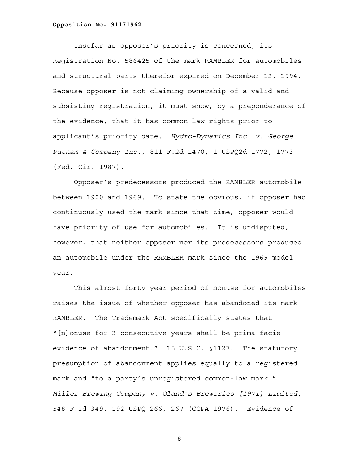Insofar as opposer's priority is concerned, its Registration No. 586425 of the mark RAMBLER for automobiles and structural parts therefor expired on December 12, 1994. Because opposer is not claiming ownership of a valid and subsisting registration, it must show, by a preponderance of the evidence, that it has common law rights prior to applicant's priority date. *Hydro-Dynamics Inc. v. George Putnam & Company Inc.*, 811 F.2d 1470, 1 USPQ2d 1772, 1773 (Fed. Cir. 1987).

 Opposer's predecessors produced the RAMBLER automobile between 1900 and 1969. To state the obvious, if opposer had continuously used the mark since that time, opposer would have priority of use for automobiles. It is undisputed, however, that neither opposer nor its predecessors produced an automobile under the RAMBLER mark since the 1969 model year.

 This almost forty-year period of nonuse for automobiles raises the issue of whether opposer has abandoned its mark RAMBLER. The Trademark Act specifically states that "[n]onuse for 3 consecutive years shall be prima facie evidence of abandonment." 15 U.S.C. §1127. The statutory presumption of abandonment applies equally to a registered mark and "to a party's unregistered common-law mark." *Miller Brewing Company v. Oland's Breweries [1971] Limited*, 548 F.2d 349, 192 USPQ 266, 267 (CCPA 1976). Evidence of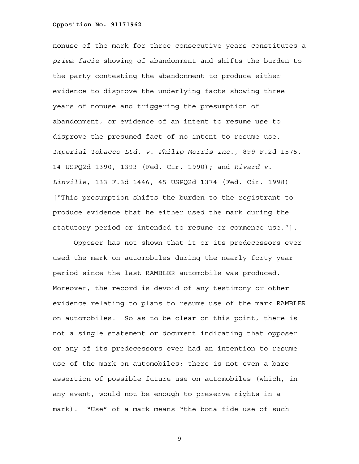nonuse of the mark for three consecutive years constitutes a *prima facie* showing of abandonment and shifts the burden to the party contesting the abandonment to produce either evidence to disprove the underlying facts showing three years of nonuse and triggering the presumption of abandonment, or evidence of an intent to resume use to disprove the presumed fact of no intent to resume use. *Imperial Tobacco Ltd. v. Philip Morris Inc.*, 899 F.2d 1575, 14 USPQ2d 1390, 1393 (Fed. Cir. 1990); and *Rivard v. Linville*, 133 F.3d 1446, 45 USPQ2d 1374 (Fed. Cir. 1998) ["This presumption shifts the burden to the registrant to produce evidence that he either used the mark during the statutory period or intended to resume or commence use."].

 Opposer has not shown that it or its predecessors ever used the mark on automobiles during the nearly forty-year period since the last RAMBLER automobile was produced. Moreover, the record is devoid of any testimony or other evidence relating to plans to resume use of the mark RAMBLER on automobiles. So as to be clear on this point, there is not a single statement or document indicating that opposer or any of its predecessors ever had an intention to resume use of the mark on automobiles; there is not even a bare assertion of possible future use on automobiles (which, in any event, would not be enough to preserve rights in a mark). "Use" of a mark means "the bona fide use of such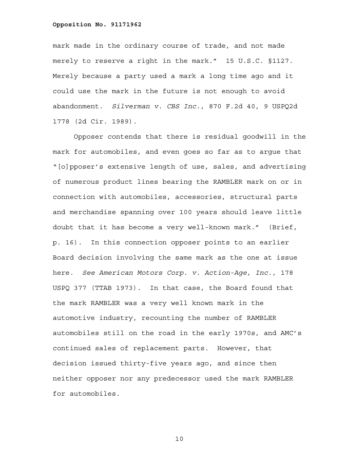mark made in the ordinary course of trade, and not made merely to reserve a right in the mark." 15 U.S.C. §1127. Merely because a party used a mark a long time ago and it could use the mark in the future is not enough to avoid abandonment. *Silverman v. CBS Inc.*, 870 F.2d 40, 9 USPQ2d 1778 (2d Cir. 1989).

 Opposer contends that there is residual goodwill in the mark for automobiles, and even goes so far as to argue that "[o]pposer's extensive length of use, sales, and advertising of numerous product lines bearing the RAMBLER mark on or in connection with automobiles, accessories, structural parts and merchandise spanning over 100 years should leave little doubt that it has become a very well-known mark." (Brief, p. 16). In this connection opposer points to an earlier Board decision involving the same mark as the one at issue here. *See American Motors Corp. v. Action-Age, Inc.*, 178 USPQ 377 (TTAB 1973). In that case, the Board found that the mark RAMBLER was a very well known mark in the automotive industry, recounting the number of RAMBLER automobiles still on the road in the early 1970s, and AMC's continued sales of replacement parts. However, that decision issued thirty-five years ago, and since then neither opposer nor any predecessor used the mark RAMBLER for automobiles.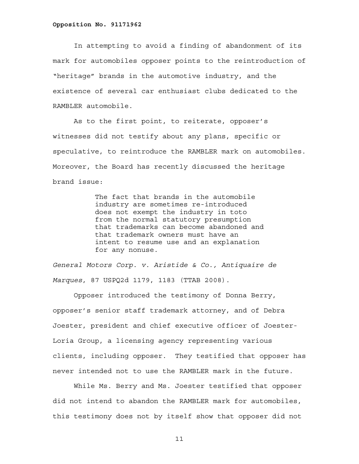In attempting to avoid a finding of abandonment of its mark for automobiles opposer points to the reintroduction of "heritage" brands in the automotive industry, and the existence of several car enthusiast clubs dedicated to the RAMBLER automobile.

 As to the first point, to reiterate, opposer's witnesses did not testify about any plans, specific or speculative, to reintroduce the RAMBLER mark on automobiles. Moreover, the Board has recently discussed the heritage brand issue:

> The fact that brands in the automobile industry are sometimes re-introduced does not exempt the industry in toto from the normal statutory presumption that trademarks can become abandoned and that trademark owners must have an intent to resume use and an explanation for any nonuse.

*General Motors Corp. v. Aristide & Co., Antiquaire de Marques*, 87 USPQ2d 1179, 1183 (TTAB 2008).

Opposer introduced the testimony of Donna Berry, opposer's senior staff trademark attorney, and of Debra Joester, president and chief executive officer of Joester-Loria Group, a licensing agency representing various clients, including opposer. They testified that opposer has never intended not to use the RAMBLER mark in the future.

While Ms. Berry and Ms. Joester testified that opposer did not intend to abandon the RAMBLER mark for automobiles, this testimony does not by itself show that opposer did not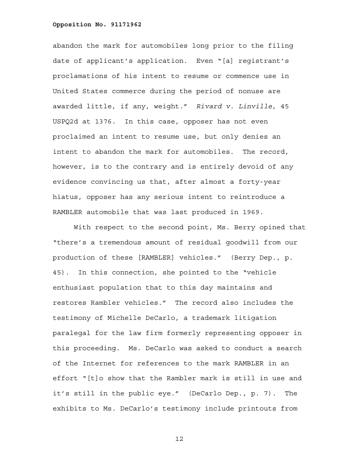abandon the mark for automobiles long prior to the filing date of applicant's application. Even "[a] registrant's proclamations of his intent to resume or commence use in United States commerce during the period of nonuse are awarded little, if any, weight." *Rivard v. Linville*, 45 USPQ2d at 1376. In this case, opposer has not even proclaimed an intent to resume use, but only denies an intent to abandon the mark for automobiles. The record, however, is to the contrary and is entirely devoid of any evidence convincing us that, after almost a forty-year hiatus, opposer has any serious intent to reintroduce a RAMBLER automobile that was last produced in 1969.

With respect to the second point, Ms. Berry opined that "there's a tremendous amount of residual goodwill from our production of these [RAMBLER] vehicles." (Berry Dep., p. 45). In this connection, she pointed to the "vehicle enthusiast population that to this day maintains and restores Rambler vehicles." The record also includes the testimony of Michelle DeCarlo, a trademark litigation paralegal for the law firm formerly representing opposer in this proceeding. Ms. DeCarlo was asked to conduct a search of the Internet for references to the mark RAMBLER in an effort "[t]o show that the Rambler mark is still in use and it's still in the public eye." (DeCarlo Dep., p. 7). The exhibits to Ms. DeCarlo's testimony include printouts from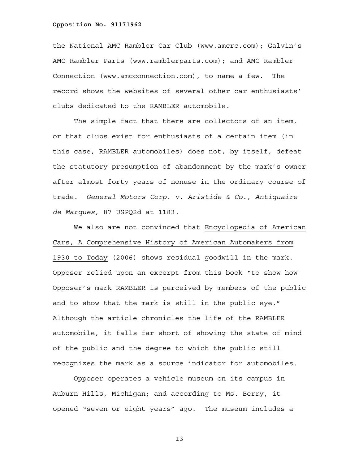the National AMC Rambler Car Club (www.amcrc.com); Galvin's AMC Rambler Parts (www.ramblerparts.com); and AMC Rambler Connection (www.amcconnection.com), to name a few. The record shows the websites of several other car enthusiasts' clubs dedicated to the RAMBLER automobile.

The simple fact that there are collectors of an item, or that clubs exist for enthusiasts of a certain item (in this case, RAMBLER automobiles) does not, by itself, defeat the statutory presumption of abandonment by the mark's owner after almost forty years of nonuse in the ordinary course of trade. *General Motors Corp. v. Aristide & Co., Antiquaire de Marques*, 87 USPQ2d at 1183.

We also are not convinced that Encyclopedia of American Cars, A Comprehensive History of American Automakers from 1930 to Today (2006) shows residual goodwill in the mark. Opposer relied upon an excerpt from this book "to show how Opposer's mark RAMBLER is perceived by members of the public and to show that the mark is still in the public eye." Although the article chronicles the life of the RAMBLER automobile, it falls far short of showing the state of mind of the public and the degree to which the public still recognizes the mark as a source indicator for automobiles.

Opposer operates a vehicle museum on its campus in Auburn Hills, Michigan; and according to Ms. Berry, it opened "seven or eight years" ago. The museum includes a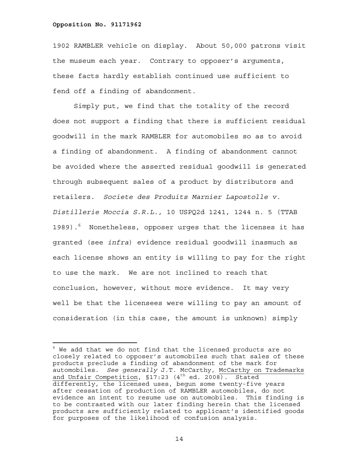i<br>H

1902 RAMBLER vehicle on display. About 50,000 patrons visit the museum each year. Contrary to opposer's arguments, these facts hardly establish continued use sufficient to fend off a finding of abandonment.

 Simply put, we find that the totality of the record does not support a finding that there is sufficient residual goodwill in the mark RAMBLER for automobiles so as to avoid a finding of abandonment. A finding of abandonment cannot be avoided where the asserted residual goodwill is generated through subsequent sales of a product by distributors and retailers. *Societe des Produits Marnier Lapostolle v. Distillerie Moccia S.R.L.*, 10 USPQ2d 1241, 1244 n. 5 (TTAB 1989).<sup>6</sup> Nonetheless, opposer urges that the licenses it has granted (see *infra*) evidence residual goodwill inasmuch as each license shows an entity is willing to pay for the right to use the mark. We are not inclined to reach that conclusion, however, without more evidence. It may very well be that the licensees were willing to pay an amount of consideration (in this case, the amount is unknown) simply

 $^6$  We add that we do not find that the licensed products are so closely related to opposer's automobiles such that sales of these products preclude a finding of abandonment of the mark for automobiles. *See generally* J.T. McCarthy, McCarthy on Trademarks and Unfair Competition, §17:23 (4<sup>th</sup> ed. 2008). Stated differently, the licensed uses, begun some twenty-five years after cessation of production of RAMBLER automobiles, do not evidence an intent to resume use on automobiles. This finding is to be contrasted with our later finding herein that the licensed products are sufficiently related to applicant's identified goods for purposes of the likelihood of confusion analysis.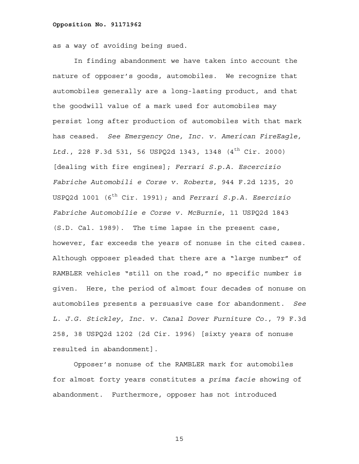as a way of avoiding being sued.

 In finding abandonment we have taken into account the nature of opposer's goods, automobiles. We recognize that automobiles generally are a long-lasting product, and that the goodwill value of a mark used for automobiles may persist long after production of automobiles with that mark has ceased. *See Emergency One, Inc. v. American FireEagle, Ltd.*, 228 F.3d 531, 56 USPQ2d 1343, 1348 (4th Cir. 2000) [dealing with fire engines]; *Ferrari S.p.A. Escercizio Fabriche Automobili e Corse v. Roberts*, 944 F.2d 1235, 20 USPQ2d 1001 (6th Cir. 1991); and *Ferrari S.p.A. Esercizio Fabriche Automobilie e Corse v. McBurnie*, 11 USPQ2d 1843 (S.D. Cal. 1989). The time lapse in the present case, however, far exceeds the years of nonuse in the cited cases. Although opposer pleaded that there are a "large number" of RAMBLER vehicles "still on the road," no specific number is given. Here, the period of almost four decades of nonuse on automobiles presents a persuasive case for abandonment. *See L. J.G. Stickley, Inc. v. Canal Dover Furniture Co.*, 79 F.3d 258, 38 USPQ2d 1202 (2d Cir. 1996) [sixty years of nonuse resulted in abandonment].

 Opposer's nonuse of the RAMBLER mark for automobiles for almost forty years constitutes a *prima facie* showing of abandonment. Furthermore, opposer has not introduced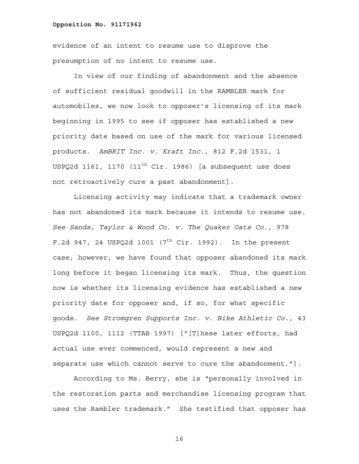evidence of an intent to resume use to disprove the presumption of no intent to resume use.

In view of our finding of abandonment and the absence of sufficient residual goodwill in the RAMBLER mark for automobiles, we now look to opposer's licensing of its mark beginning in 1995 to see if opposer has established a new priority date based on use of the mark for various licensed products. *AmBRIT Inc. v. Kraft Inc.*, 812 F.2d 1531, 1 USPQ2d 1161, 1170  $(11^{th}$  Cir. 1986) [a subsequent use does not retroactively cure a past abandonment].

 Licensing activity may indicate that a trademark owner has not abandoned its mark because it intends to resume use. *See Sands, Taylor & Wood Co. v. The Quaker Oats Co.*, 978 F.2d 947, 24 USPQ2d 1001  $(7<sup>th</sup>$  Cir. 1992). In the present case, however, we have found that opposer abandoned its mark long before it began licensing its mark. Thus, the question now is whether its licensing evidence has established a new priority date for opposer and, if so, for what specific goods. *See Stromgren Supports Inc. v. Bike Athletic Co.*, 43 USPQ2d 1100, 1112 (TTAB 1997) ["[T]hese later efforts, had actual use ever commenced, would represent a new and separate use which cannot serve to cure the abandonment."].

According to Ms. Berry, she is "personally involved in the restoration parts and merchandise licensing program that uses the Rambler trademark." She testified that opposer has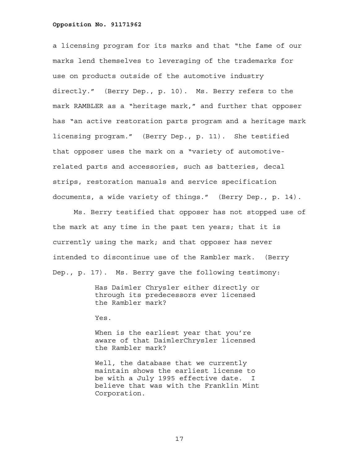a licensing program for its marks and that "the fame of our marks lend themselves to leveraging of the trademarks for use on products outside of the automotive industry directly." (Berry Dep., p. 10). Ms. Berry refers to the mark RAMBLER as a "heritage mark," and further that opposer has "an active restoration parts program and a heritage mark licensing program." (Berry Dep., p. 11). She testified that opposer uses the mark on a "variety of automotiverelated parts and accessories, such as batteries, decal strips, restoration manuals and service specification documents, a wide variety of things." (Berry Dep., p. 14).

Ms. Berry testified that opposer has not stopped use of the mark at any time in the past ten years; that it is currently using the mark; and that opposer has never intended to discontinue use of the Rambler mark. (Berry Dep., p. 17). Ms. Berry gave the following testimony:

> Has Daimler Chrysler either directly or through its predecessors ever licensed the Rambler mark?

Yes.

When is the earliest year that you're aware of that DaimlerChrysler licensed the Rambler mark?

Well, the database that we currently maintain shows the earliest license to be with a July 1995 effective date. I believe that was with the Franklin Mint Corporation.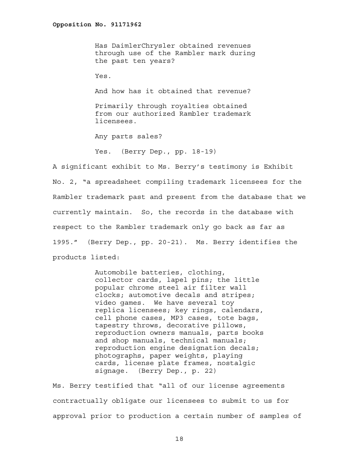Has DaimlerChrysler obtained revenues through use of the Rambler mark during the past ten years?

Yes.

And how has it obtained that revenue?

Primarily through royalties obtained from our authorized Rambler trademark licensees.

Any parts sales?

Yes. (Berry Dep., pp. 18-19)

A significant exhibit to Ms. Berry's testimony is Exhibit No. 2, "a spreadsheet compiling trademark licensees for the Rambler trademark past and present from the database that we currently maintain. So, the records in the database with respect to the Rambler trademark only go back as far as 1995." (Berry Dep., pp. 20-21). Ms. Berry identifies the products listed:

> Automobile batteries, clothing, collector cards, lapel pins; the little popular chrome steel air filter wall clocks; automotive decals and stripes; video games. We have several toy replica licensees; key rings, calendars, cell phone cases, MP3 cases, tote bags, tapestry throws, decorative pillows, reproduction owners manuals, parts books and shop manuals, technical manuals; reproduction engine designation decals; photographs, paper weights, playing cards, license plate frames, nostalgic signage. (Berry Dep., p. 22)

Ms. Berry testified that "all of our license agreements contractually obligate our licensees to submit to us for approval prior to production a certain number of samples of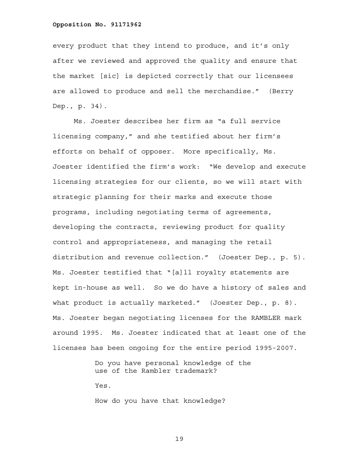every product that they intend to produce, and it's only after we reviewed and approved the quality and ensure that the market [sic] is depicted correctly that our licensees are allowed to produce and sell the merchandise." (Berry Dep., p. 34).

Ms. Joester describes her firm as "a full service licensing company," and she testified about her firm's efforts on behalf of opposer. More specifically, Ms. Joester identified the firm's work: "We develop and execute licensing strategies for our clients, so we will start with strategic planning for their marks and execute those programs, including negotiating terms of agreements, developing the contracts, reviewing product for quality control and appropriateness, and managing the retail distribution and revenue collection." (Joester Dep., p. 5). Ms. Joester testified that "[a]ll royalty statements are kept in-house as well. So we do have a history of sales and what product is actually marketed." (Joester Dep., p. 8). Ms. Joester began negotiating licenses for the RAMBLER mark around 1995. Ms. Joester indicated that at least one of the licenses has been ongoing for the entire period 1995-2007.

> Do you have personal knowledge of the use of the Rambler trademark? Yes.

How do you have that knowledge?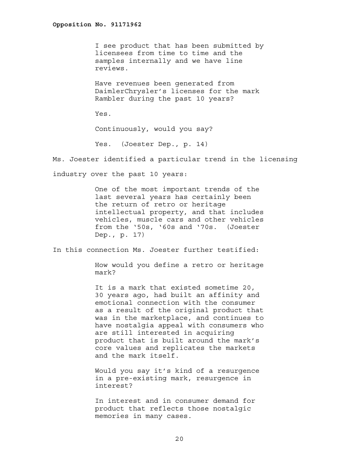I see product that has been submitted by licensees from time to time and the samples internally and we have line reviews.

Have revenues been generated from DaimlerChrysler's licenses for the mark Rambler during the past 10 years?

Yes.

Continuously, would you say?

Yes. (Joester Dep., p. 14)

Ms. Joester identified a particular trend in the licensing

industry over the past 10 years:

One of the most important trends of the last several years has certainly been the return of retro or heritage intellectual property, and that includes vehicles, muscle cars and other vehicles from the '50s, '60s and '70s. (Joester Dep., p. 17)

In this connection Ms. Joester further testified:

How would you define a retro or heritage mark?

It is a mark that existed sometime 20, 30 years ago, had built an affinity and emotional connection with the consumer as a result of the original product that was in the marketplace, and continues to have nostalgia appeal with consumers who are still interested in acquiring product that is built around the mark's core values and replicates the markets and the mark itself.

Would you say it's kind of a resurgence in a pre-existing mark, resurgence in interest?

In interest and in consumer demand for product that reflects those nostalgic memories in many cases.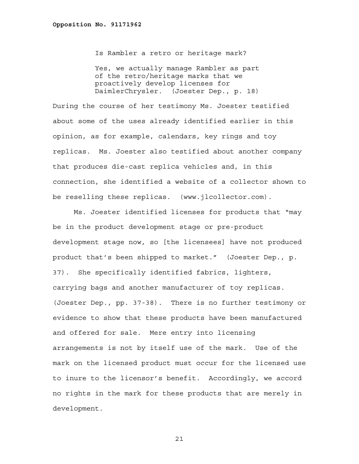Is Rambler a retro or heritage mark?

Yes, we actually manage Rambler as part of the retro/heritage marks that we proactively develop licenses for DaimlerChrysler. (Joester Dep., p. 18)

During the course of her testimony Ms. Joester testified about some of the uses already identified earlier in this opinion, as for example, calendars, key rings and toy replicas. Ms. Joester also testified about another company that produces die-cast replica vehicles and, in this connection, she identified a website of a collector shown to be reselling these replicas. (www.jlcollector.com).

Ms. Joester identified licenses for products that "may be in the product development stage or pre-product development stage now, so [the licensees] have not produced product that's been shipped to market." (Joester Dep., p. 37). She specifically identified fabrics, lighters, carrying bags and another manufacturer of toy replicas. (Joester Dep., pp. 37-38). There is no further testimony or evidence to show that these products have been manufactured and offered for sale. Mere entry into licensing arrangements is not by itself use of the mark. Use of the mark on the licensed product must occur for the licensed use to inure to the licensor's benefit. Accordingly, we accord no rights in the mark for these products that are merely in development.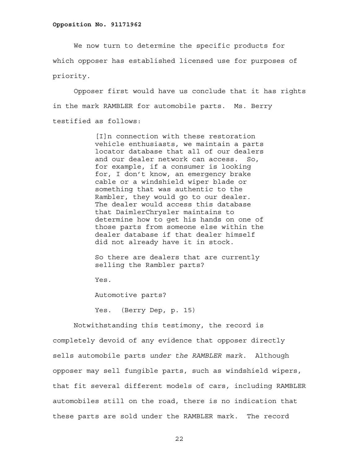We now turn to determine the specific products for which opposer has established licensed use for purposes of priority.

Opposer first would have us conclude that it has rights in the mark RAMBLER for automobile parts. Ms. Berry testified as follows:

> [I]n connection with these restoration vehicle enthusiasts, we maintain a parts locator database that all of our dealers and our dealer network can access. So, for example, if a consumer is looking for, I don't know, an emergency brake cable or a windshield wiper blade or something that was authentic to the Rambler, they would go to our dealer. The dealer would access this database that DaimlerChrysler maintains to determine how to get his hands on one of those parts from someone else within the dealer database if that dealer himself did not already have it in stock.

So there are dealers that are currently selling the Rambler parts?

Yes.

Automotive parts?

Yes. (Berry Dep, p. 15)

 Notwithstanding this testimony, the record is completely devoid of any evidence that opposer directly sells automobile parts *under the RAMBLER mark*. Although opposer may sell fungible parts, such as windshield wipers, that fit several different models of cars, including RAMBLER automobiles still on the road, there is no indication that these parts are sold under the RAMBLER mark. The record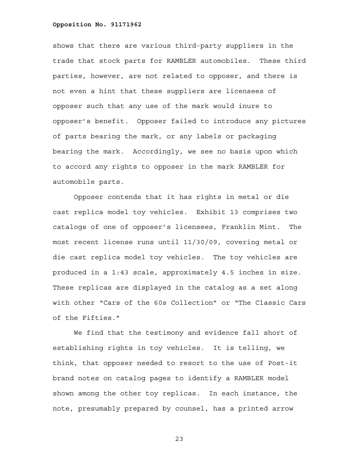shows that there are various third-party suppliers in the trade that stock parts for RAMBLER automobiles. These third parties, however, are not related to opposer, and there is not even a hint that these suppliers are licensees of opposer such that any use of the mark would inure to opposer's benefit. Opposer failed to introduce any pictures of parts bearing the mark, or any labels or packaging bearing the mark. Accordingly, we see no basis upon which to accord any rights to opposer in the mark RAMBLER for automobile parts.

Opposer contends that it has rights in metal or die cast replica model toy vehicles. Exhibit 13 comprises two catalogs of one of opposer's licensees, Franklin Mint. The most recent license runs until 11/30/09, covering metal or die cast replica model toy vehicles. The toy vehicles are produced in a 1:43 scale, approximately 4.5 inches in size. These replicas are displayed in the catalog as a set along with other "Cars of the 60s Collection" or "The Classic Cars of the Fifties."

We find that the testimony and evidence fall short of establishing rights in toy vehicles. It is telling, we think, that opposer needed to resort to the use of Post-it brand notes on catalog pages to identify a RAMBLER model shown among the other toy replicas. In each instance, the note, presumably prepared by counsel, has a printed arrow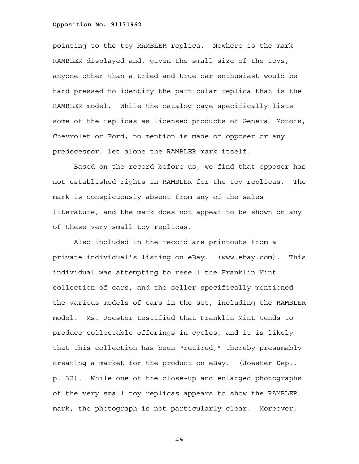pointing to the toy RAMBLER replica. Nowhere is the mark RAMBLER displayed and, given the small size of the toys, anyone other than a tried and true car enthusiast would be hard pressed to identify the particular replica that is the RAMBLER model. While the catalog page specifically lists some of the replicas as licensed products of General Motors, Chevrolet or Ford, no mention is made of opposer or any predecessor, let alone the RAMBLER mark itself.

Based on the record before us, we find that opposer has not established rights in RAMBLER for the toy replicas. The mark is conspicuously absent from any of the sales literature, and the mark does not appear to be shown on any of these very small toy replicas.

Also included in the record are printouts from a private individual's listing on eBay. (www.ebay.com). This individual was attempting to resell the Franklin Mint collection of cars, and the seller specifically mentioned the various models of cars in the set, including the RAMBLER model. Ms. Joester testified that Franklin Mint tends to produce collectable offerings in cycles, and it is likely that this collection has been "retired," thereby presumably creating a market for the product on eBay. (Joester Dep., p. 32). While one of the close-up and enlarged photographs of the very small toy replicas appears to show the RAMBLER mark, the photograph is not particularly clear. Moreover,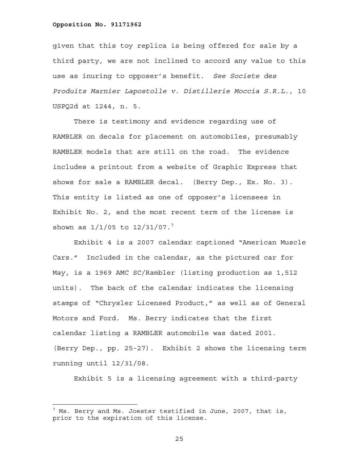given that this toy replica is being offered for sale by a third party, we are not inclined to accord any value to this use as inuring to opposer's benefit. *See Societe des Produits Marnier Lapostolle v. Distillerie Moccia S.R.L.*, 10 USPQ2d at 1244, n. 5.

There is testimony and evidence regarding use of RAMBLER on decals for placement on automobiles, presumably RAMBLER models that are still on the road. The evidence includes a printout from a website of Graphic Express that shows for sale a RAMBLER decal. (Berry Dep., Ex. No. 3). This entity is listed as one of opposer's licensees in Exhibit No. 2, and the most recent term of the license is shown as  $1/1/05$  to  $12/31/07$ .<sup>7</sup>

Exhibit 4 is a 2007 calendar captioned "American Muscle Cars." Included in the calendar, as the pictured car for May, is a 1969 AMC SC/Rambler (listing production as 1,512 units). The back of the calendar indicates the licensing stamps of "Chrysler Licensed Product," as well as of General Motors and Ford. Ms. Berry indicates that the first calendar listing a RAMBLER automobile was dated 2001. (Berry Dep., pp. 25-27). Exhibit 2 shows the licensing term running until 12/31/08.

Exhibit 5 is a licensing agreement with a third-party

÷,

 $^7$  Ms. Berry and Ms. Joester testified in June, 2007, that is, prior to the expiration of this license.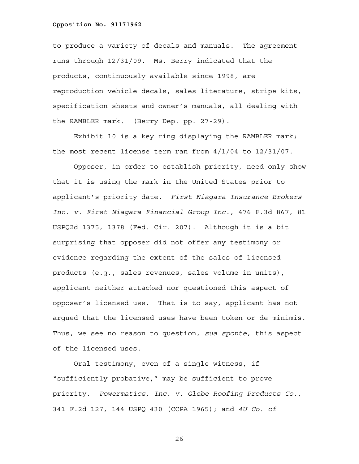to produce a variety of decals and manuals. The agreement runs through 12/31/09. Ms. Berry indicated that the products, continuously available since 1998, are reproduction vehicle decals, sales literature, stripe kits, specification sheets and owner's manuals, all dealing with the RAMBLER mark. (Berry Dep. pp. 27-29).

 Exhibit 10 is a key ring displaying the RAMBLER mark; the most recent license term ran from 4/1/04 to 12/31/07.

Opposer, in order to establish priority, need only show that it is using the mark in the United States prior to applicant's priority date. *First Niagara Insurance Brokers Inc. v. First Niagara Financial Group Inc.*, 476 F.3d 867, 81 USPQ2d 1375, 1378 (Fed. Cir. 207). Although it is a bit surprising that opposer did not offer any testimony or evidence regarding the extent of the sales of licensed products (e.g., sales revenues, sales volume in units), applicant neither attacked nor questioned this aspect of opposer's licensed use. That is to say, applicant has not argued that the licensed uses have been token or de minimis. Thus, we see no reason to question, *sua sponte*, this aspect of the licensed uses.

 Oral testimony, even of a single witness, if "sufficiently probative," may be sufficient to prove priority. *Powermatics, Inc. v. Glebe Roofing Products Co*., 341 F.2d 127, 144 USPQ 430 (CCPA 1965); and *4U Co. of*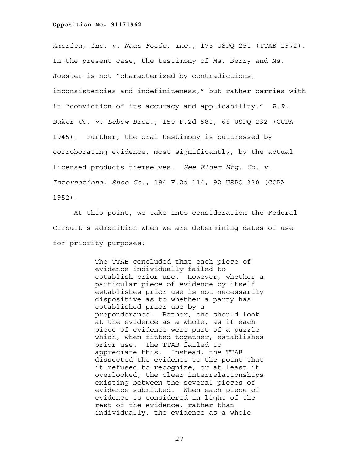*America, Inc. v. Naas Foods, Inc.,* 175 USPQ 251 (TTAB 1972). In the present case, the testimony of Ms. Berry and Ms. Joester is not "characterized by contradictions, inconsistencies and indefiniteness," but rather carries with it "conviction of its accuracy and applicability." *B.R. Baker Co. v. Lebow Bros*., 150 F.2d 580, 66 USPQ 232 (CCPA 1945). Further, the oral testimony is buttressed by corroborating evidence, most significantly, by the actual licensed products themselves. *See Elder Mfg. Co. v. International Shoe Co.*, 194 F.2d 114, 92 USPQ 330 (CCPA 1952).

At this point, we take into consideration the Federal Circuit's admonition when we are determining dates of use for priority purposes:

> The TTAB concluded that each piece of evidence individually failed to establish prior use. However, whether a particular piece of evidence by itself establishes prior use is not necessarily dispositive as to whether a party has established prior use by a preponderance. Rather, one should look at the evidence as a whole, as if each piece of evidence were part of a puzzle which, when fitted together, establishes prior use. The TTAB failed to appreciate this. Instead, the TTAB dissected the evidence to the point that it refused to recognize, or at least it overlooked, the clear interrelationships existing between the several pieces of evidence submitted. When each piece of evidence is considered in light of the rest of the evidence, rather than individually, the evidence as a whole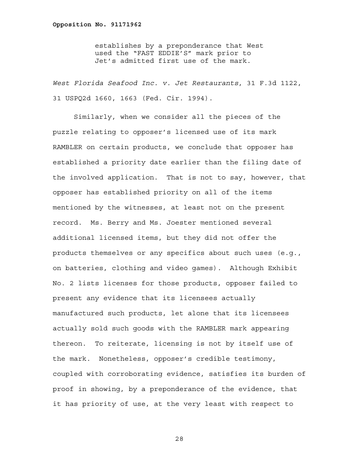establishes by a preponderance that West used the "FAST EDDIE'S" mark prior to Jet's admitted first use of the mark.

*West Florida Seafood Inc. v. Jet Restaurants*, 31 F.3d 1122, 31 USPQ2d 1660, 1663 (Fed. Cir. 1994).

 Similarly, when we consider all the pieces of the puzzle relating to opposer's licensed use of its mark RAMBLER on certain products, we conclude that opposer has established a priority date earlier than the filing date of the involved application. That is not to say, however, that opposer has established priority on all of the items mentioned by the witnesses, at least not on the present record. Ms. Berry and Ms. Joester mentioned several additional licensed items, but they did not offer the products themselves or any specifics about such uses (e.g., on batteries, clothing and video games). Although Exhibit No. 2 lists licenses for those products, opposer failed to present any evidence that its licensees actually manufactured such products, let alone that its licensees actually sold such goods with the RAMBLER mark appearing thereon. To reiterate, licensing is not by itself use of the mark. Nonetheless, opposer's credible testimony, coupled with corroborating evidence, satisfies its burden of proof in showing, by a preponderance of the evidence, that it has priority of use, at the very least with respect to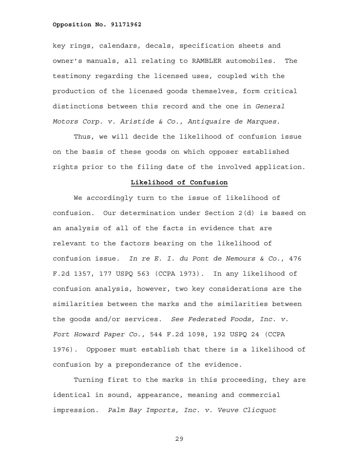key rings, calendars, decals, specification sheets and owner's manuals, all relating to RAMBLER automobiles. The testimony regarding the licensed uses, coupled with the production of the licensed goods themselves, form critical distinctions between this record and the one in *General Motors Corp. v. Aristide & Co., Antiquaire de Marques*.

 Thus, we will decide the likelihood of confusion issue on the basis of these goods on which opposer established rights prior to the filing date of the involved application.

## **Likelihood of Confusion**

 We accordingly turn to the issue of likelihood of confusion. Our determination under Section 2(d) is based on an analysis of all of the facts in evidence that are relevant to the factors bearing on the likelihood of confusion issue. *In re E. I. du Pont de Nemours & Co.*, 476 F.2d 1357, 177 USPQ 563 (CCPA 1973). In any likelihood of confusion analysis, however, two key considerations are the similarities between the marks and the similarities between the goods and/or services. *See Federated Foods, Inc. v. Fort Howard Paper Co*., 544 F.2d 1098, 192 USPQ 24 (CCPA 1976). Opposer must establish that there is a likelihood of confusion by a preponderance of the evidence.

Turning first to the marks in this proceeding, they are identical in sound, appearance, meaning and commercial impression. *Palm Bay Imports, Inc. v. Veuve Clicquot*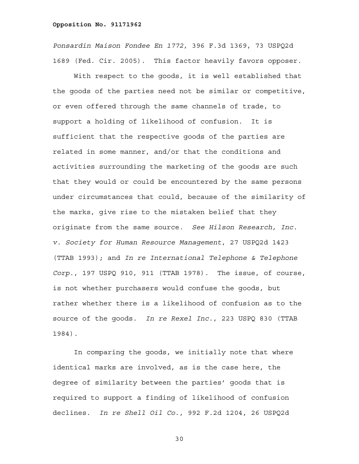*Ponsardin Maison Fondee En 1772*, 396 F.3d 1369, 73 USPQ2d 1689 (Fed. Cir. 2005). This factor heavily favors opposer.

With respect to the goods, it is well established that the goods of the parties need not be similar or competitive, or even offered through the same channels of trade, to support a holding of likelihood of confusion. It is sufficient that the respective goods of the parties are related in some manner, and/or that the conditions and activities surrounding the marketing of the goods are such that they would or could be encountered by the same persons under circumstances that could, because of the similarity of the marks, give rise to the mistaken belief that they originate from the same source. *See Hilson Research, Inc. v. Society for Human Resource Management*, 27 USPQ2d 1423 (TTAB 1993); and *In re International Telephone & Telephone Corp*., 197 USPQ 910, 911 (TTAB 1978). The issue, of course, is not whether purchasers would confuse the goods, but rather whether there is a likelihood of confusion as to the source of the goods. *In re Rexel Inc*., 223 USPQ 830 (TTAB 1984).

In comparing the goods, we initially note that where identical marks are involved, as is the case here, the degree of similarity between the parties' goods that is required to support a finding of likelihood of confusion declines. *In re Shell Oil Co*., 992 F.2d 1204, 26 USPQ2d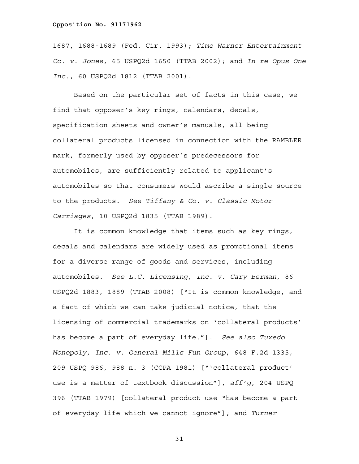1687, 1688-1689 (Fed. Cir. 1993); *Time Warner Entertainment Co. v. Jones*, 65 USPQ2d 1650 (TTAB 2002); and *In re Opus One Inc*., 60 USPQ2d 1812 (TTAB 2001).

 Based on the particular set of facts in this case, we find that opposer's key rings, calendars, decals, specification sheets and owner's manuals, all being collateral products licensed in connection with the RAMBLER mark, formerly used by opposer's predecessors for automobiles, are sufficiently related to applicant's automobiles so that consumers would ascribe a single source to the products. *See Tiffany & Co. v. Classic Motor Carriages*, 10 USPQ2d 1835 (TTAB 1989).

It is common knowledge that items such as key rings, decals and calendars are widely used as promotional items for a diverse range of goods and services, including automobiles. *See L.C. Licensing, Inc. v. Cary Berman*, 86 USPQ2d 1883, 1889 (TTAB 2008) ["It is common knowledge, and a fact of which we can take judicial notice, that the licensing of commercial trademarks on 'collateral products' has become a part of everyday life."]. *See also Tuxedo Monopoly, Inc. v. General Mills Fun Group*, 648 F.2d 1335, 209 USPQ 986, 988 n. 3 (CCPA 1981) ["'collateral product' use is a matter of textbook discussion"], *aff'g*, 204 USPQ 396 (TTAB 1979) [collateral product use "has become a part of everyday life which we cannot ignore"]; and *Turner*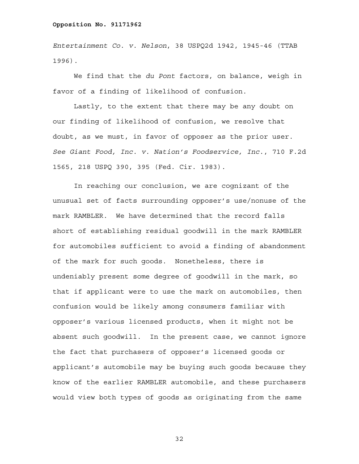*Entertainment Co. v. Nelson*, 38 USPQ2d 1942, 1945-46 (TTAB 1996).

 We find that the *du Pont* factors, on balance, weigh in favor of a finding of likelihood of confusion.

Lastly, to the extent that there may be any doubt on our finding of likelihood of confusion, we resolve that doubt, as we must, in favor of opposer as the prior user. *See Giant Food, Inc. v. Nation's Foodservice, Inc*., 710 F.2d 1565, 218 USPQ 390, 395 (Fed. Cir. 1983).

In reaching our conclusion, we are cognizant of the unusual set of facts surrounding opposer's use/nonuse of the mark RAMBLER. We have determined that the record falls short of establishing residual goodwill in the mark RAMBLER for automobiles sufficient to avoid a finding of abandonment of the mark for such goods. Nonetheless, there is undeniably present some degree of goodwill in the mark, so that if applicant were to use the mark on automobiles, then confusion would be likely among consumers familiar with opposer's various licensed products, when it might not be absent such goodwill. In the present case, we cannot ignore the fact that purchasers of opposer's licensed goods or applicant's automobile may be buying such goods because they know of the earlier RAMBLER automobile, and these purchasers would view both types of goods as originating from the same